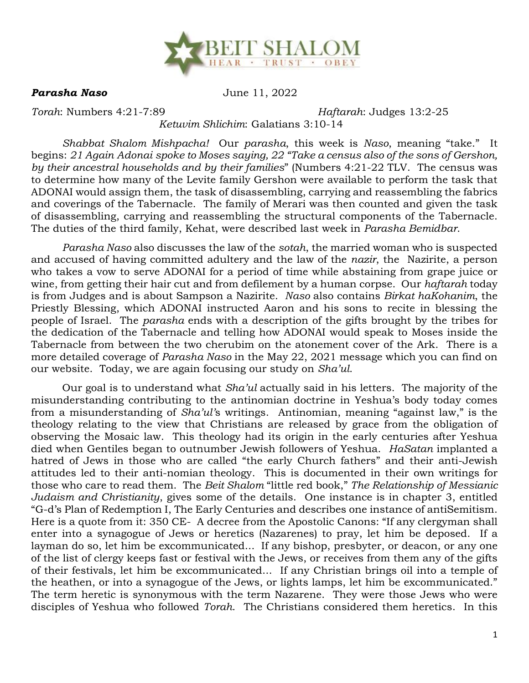

*Parasha Naso* June 11, 2022

*Torah*: Numbers 4:21-7:89 *Haftarah*: Judges 13:2-25

## *Ketuvim Shlichim*: Galatians 3:10-14

*Shabbat Shalom Mishpacha!* Our *parasha*, this week is *Naso*, meaning "take." It begins: *21 Again Adonai spoke to Moses saying, 22 "Take a census also of the sons of Gershon, by their ancestral households and by their families*" (Numbers 4:21-22 TLV. The census was to determine how many of the Levite family Gershon were available to perform the task that ADONAI would assign them, the task of disassembling, carrying and reassembling the fabrics and coverings of the Tabernacle. The family of Merari was then counted and given the task of disassembling, carrying and reassembling the structural components of the Tabernacle. The duties of the third family, Kehat, were described last week in *Parasha Bemidbar*.

*Parasha Naso* also discusses the law of the *sotah*, the married woman who is suspected and accused of having committed adultery and the law of the *nazir*, the Nazirite, a person who takes a vow to serve ADONAI for a period of time while abstaining from grape juice or wine, from getting their hair cut and from defilement by a human corpse. Our *haftarah* today is from Judges and is about Sampson a Nazirite. *Naso* also contains *Birkat haKohanim*, the Priestly Blessing, which ADONAI instructed Aaron and his sons to recite in blessing the people of Israel. The *parasha* ends with a description of the gifts brought by the tribes for the dedication of the Tabernacle and telling how ADONAI would speak to Moses inside the Tabernacle from between the two cherubim on the atonement cover of the Ark. There is a more detailed coverage of *Parasha Naso* in the May 22, 2021 message which you can find on our website. Today, we are again focusing our study on *Sha'ul*.

Our goal is to understand what *Sha'ul* actually said in his letters. The majority of the misunderstanding contributing to the antinomian doctrine in Yeshua's body today comes from a misunderstanding of *Sha'ul'*s writings. Antinomian, meaning "against law," is the theology relating to the view that Christians are released by grace from the obligation of observing the Mosaic law. This theology had its origin in the early centuries after Yeshua died when Gentiles began to outnumber Jewish followers of Yeshua. *HaSatan* implanted a hatred of Jews in those who are called "the early Church fathers" and their anti-Jewish attitudes led to their anti-nomian theology. This is documented in their own writings for those who care to read them. The *Beit Shalom* "little red book," *The Relationship of Messianic Judaism and Christianity*, gives some of the details. One instance is in chapter 3, entitled "G-d's Plan of Redemption I, The Early Centuries and describes one instance of antiSemitism. Here is a quote from it: 350 CE- A decree from the Apostolic Canons: "If any clergyman shall enter into a synagogue of Jews or heretics (Nazarenes) to pray, let him be deposed. If a layman do so, let him be excommunicated... If any bishop, presbyter, or deacon, or any one of the list of clergy keeps fast or festival with the Jews, or receives from them any of the gifts of their festivals, let him be excommunicated... If any Christian brings oil into a temple of the heathen, or into a synagogue of the Jews, or lights lamps, let him be excommunicated." The term heretic is synonymous with the term Nazarene. They were those Jews who were disciples of Yeshua who followed *Torah*. The Christians considered them heretics. In this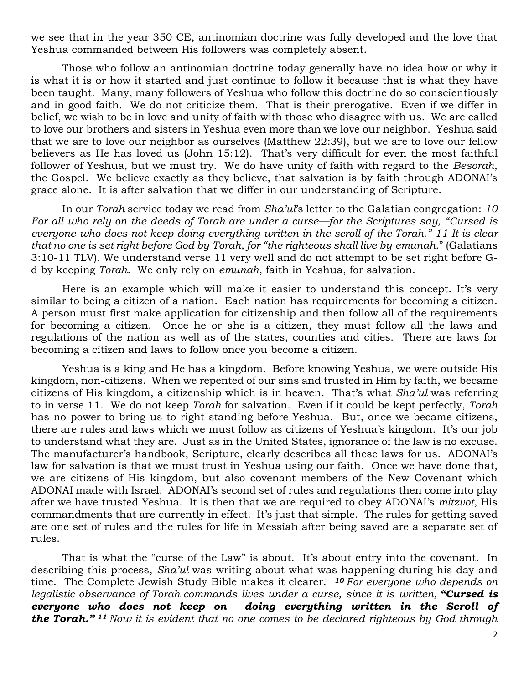we see that in the year 350 CE, antinomian doctrine was fully developed and the love that Yeshua commanded between His followers was completely absent.

Those who follow an antinomian doctrine today generally have no idea how or why it is what it is or how it started and just continue to follow it because that is what they have been taught. Many, many followers of Yeshua who follow this doctrine do so conscientiously and in good faith. We do not criticize them. That is their prerogative. Even if we differ in belief, we wish to be in love and unity of faith with those who disagree with us. We are called to love our brothers and sisters in Yeshua even more than we love our neighbor. Yeshua said that we are to love our neighbor as ourselves (Matthew 22:39), but we are to love our fellow believers as He has loved us (John 15:12). That's very difficult for even the most faithful follower of Yeshua, but we must try. We do have unity of faith with regard to the *Besorah*, the Gospel. We believe exactly as they believe, that salvation is by faith through ADONAI's grace alone. It is after salvation that we differ in our understanding of Scripture.

In our *Torah* service today we read from *Sha'ul*'s letter to the Galatian congregation: *10 For all who rely on the deeds of Torah are under a curse—for the Scriptures say, "Cursed is everyone who does not keep doing everything written in the scroll of the Torah." 11 It is clear that no one is set right before God by Torah, for "the righteous shall live by emunah*." (Galatians 3:10-11 TLV). We understand verse 11 very well and do not attempt to be set right before Gd by keeping *Torah*. We only rely on *emunah*, faith in Yeshua, for salvation.

Here is an example which will make it easier to understand this concept. It's very similar to being a citizen of a nation. Each nation has requirements for becoming a citizen. A person must first make application for citizenship and then follow all of the requirements for becoming a citizen. Once he or she is a citizen, they must follow all the laws and regulations of the nation as well as of the states, counties and cities. There are laws for becoming a citizen and laws to follow once you become a citizen.

Yeshua is a king and He has a kingdom. Before knowing Yeshua, we were outside His kingdom, non-citizens. When we repented of our sins and trusted in Him by faith, we became citizens of His kingdom, a citizenship which is in heaven. That's what *Sha'ul* was referring to in verse 11. We do not keep *Torah* for salvation. Even if it could be kept perfectly, *Torah* has no power to bring us to right standing before Yeshua. But, once we became citizens, there are rules and laws which we must follow as citizens of Yeshua's kingdom. It's our job to understand what they are. Just as in the United States, ignorance of the law is no excuse. The manufacturer's handbook, Scripture, clearly describes all these laws for us. ADONAI's law for salvation is that we must trust in Yeshua using our faith. Once we have done that, we are citizens of His kingdom, but also covenant members of the New Covenant which ADONAI made with Israel. ADONAI's second set of rules and regulations then come into play after we have trusted Yeshua. It is then that we are required to obey ADONAI's *mitzvot*, His commandments that are currently in effect. It's just that simple. The rules for getting saved are one set of rules and the rules for life in Messiah after being saved are a separate set of rules.

That is what the "curse of the Law" is about. It's about entry into the covenant. In describing this process, *Sha'ul* was writing about what was happening during his day and time. The Complete Jewish Study Bible makes it clearer. *<sup>10</sup> For everyone who depends on legalistic observance of Torah commands lives under a curse, since it is written, "Cursed is everyone who does not keep on doing everything written in the Scroll of the Torah." <sup>11</sup> Now it is evident that no one comes to be declared righteous by God through*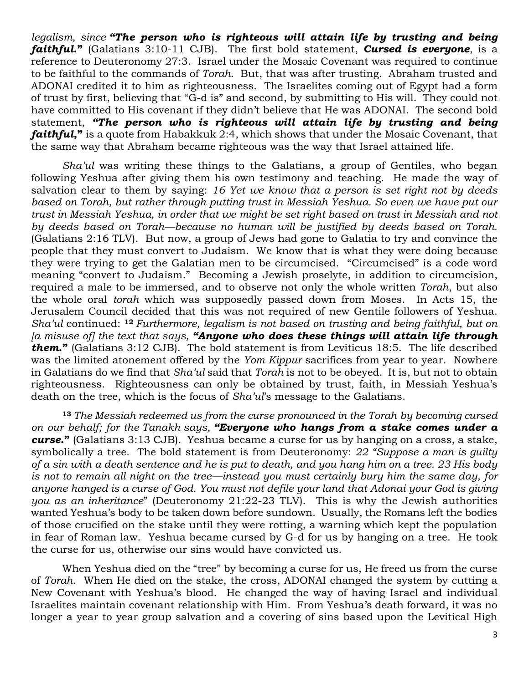*legalism, since "The person who is righteous will attain life by trusting and being faithful***."** (Galatians 3:10-11 CJB). The first bold statement, *Cursed is everyone*, is a reference to Deuteronomy 27:3. Israel under the Mosaic Covenant was required to continue to be faithful to the commands of *Torah*. But, that was after trusting. Abraham trusted and ADONAI credited it to him as righteousness. The Israelites coming out of Egypt had a form of trust by first, believing that "G-d is" and second, by submitting to His will. They could not have committed to His covenant if they didn't believe that He was ADONAI. The second bold statement, *"The person who is righteous will attain life by trusting and being faithful***,"** is a quote from Habakkuk 2:4, which shows that under the Mosaic Covenant, that the same way that Abraham became righteous was the way that Israel attained life.

*Sha'ul* was writing these things to the Galatians, a group of Gentiles, who began following Yeshua after giving them his own testimony and teaching. He made the way of salvation clear to them by saying: *16 Yet we know that a person is set right not by deeds based on Torah, but rather through putting trust in Messiah Yeshua. So even we have put our trust in Messiah Yeshua, in order that we might be set right based on trust in Messiah and not by deeds based on Torah—because no human will be justified by deeds based on Torah.* (Galatians 2:16 TLV). But now, a group of Jews had gone to Galatia to try and convince the people that they must convert to Judaism. We know that is what they were doing because they were trying to get the Galatian men to be circumcised. "Circumcised" is a code word meaning "convert to Judaism." Becoming a Jewish proselyte, in addition to circumcision, required a male to be immersed, and to observe not only the whole written *Torah*, but also the whole oral *torah* which was supposedly passed down from Moses. In Acts 15, the Jerusalem Council decided that this was not required of new Gentile followers of Yeshua. *Sha'ul* continued: **<sup>12</sup>** *Furthermore, legalism is not based on trusting and being faithful, but on [a misuse of] the text that says, "Anyone who does these things will attain life through them***."** (Galatians 3:12 CJB). The bold statement is from Leviticus 18:5. The life described was the limited atonement offered by the *Yom Kippur* sacrifices from year to year. Nowhere in Galatians do we find that *Sha'ul* said that *Torah* is not to be obeyed. It is, but not to obtain righteousness. Righteousness can only be obtained by trust, faith, in Messiah Yeshua's death on the tree, which is the focus of *Sha'ul*'s message to the Galatians.

**<sup>13</sup>** *The Messiah redeemed us from the curse pronounced in the Torah by becoming cursed on our behalf; for the Tanakh says, "Everyone who hangs from a stake comes under a curse***."** (Galatians 3:13 CJB). Yeshua became a curse for us by hanging on a cross, a stake, symbolically a tree. The bold statement is from Deuteronomy: *22 "Suppose a man is guilty of a sin with a death sentence and he is put to death, and you hang him on a tree. 23 His body is not to remain all night on the tree—instead you must certainly bury him the same day, for anyone hanged is a curse of God. You must not defile your land that Adonai your God is giving you as an inheritance*" (Deuteronomy 21:22-23 TLV). This is why the Jewish authorities wanted Yeshua's body to be taken down before sundown. Usually, the Romans left the bodies of those crucified on the stake until they were rotting, a warning which kept the population in fear of Roman law. Yeshua became cursed by G-d for us by hanging on a tree. He took the curse for us, otherwise our sins would have convicted us.

When Yeshua died on the "tree" by becoming a curse for us, He freed us from the curse of *Torah*. When He died on the stake, the cross, ADONAI changed the system by cutting a New Covenant with Yeshua's blood. He changed the way of having Israel and individual Israelites maintain covenant relationship with Him. From Yeshua's death forward, it was no longer a year to year group salvation and a covering of sins based upon the Levitical High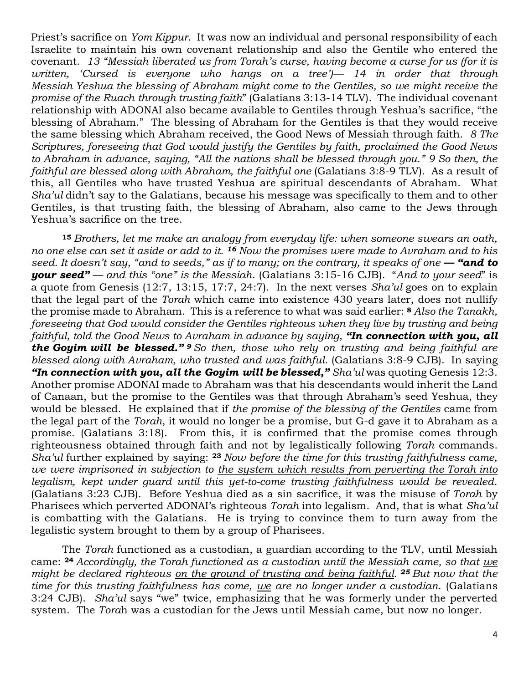Priest's sacrifice on *Yom Kippur*. It was now an individual and personal responsibility of each Israelite to maintain his own covenant relationship and also the Gentile who entered the covenant. *13 "Messiah liberated us from Torah's curse, having become a curse for us (for it is written, 'Cursed is everyone who hangs on a tree')— 14 in order that through Messiah Yeshua the blessing of Abraham might come to the Gentiles, so we might receive the promise of the Ruach through trusting faith*" (Galatians 3:13-14 TLV). The individual covenant relationship with ADONAI also became available to Gentiles through Yeshua's sacrifice, "the blessing of Abraham." The blessing of Abraham for the Gentiles is that they would receive the same blessing which Abraham received, the Good News of Messiah through faith. *8 The Scriptures, foreseeing that God would justify the Gentiles by faith, proclaimed the Good News to Abraham in advance, saying, "All the nations shall be blessed through you." 9 So then, the faithful are blessed along with Abraham, the faithful one* (Galatians 3:8-9 TLV). As a result of this, all Gentiles who have trusted Yeshua are spiritual descendants of Abraham. What *Sha'ul* didn't say to the Galatians, because his message was specifically to them and to other Gentiles, is that trusting faith, the blessing of Abraham, also came to the Jews through Yeshua's sacrifice on the tree.

**<sup>15</sup>** *Brothers, let me make an analogy from everyday life: when someone swears an oath, no one else can set it aside or add to it. <sup>16</sup> Now the promises were made to Avraham and to his seed. It doesn't say, "and to seeds," as if to many; on the contrary, it speaks of one — "and to your seed" — and this "one" is the Messiah*. (Galatians 3:15-16 CJB). "*And to your seed*" is a quote from Genesis (12:7, 13:15, 17:7, 24:7). In the next verses *Sha'ul* goes on to explain that the legal part of the *Torah* which came into existence 430 years later, does not nullify the promise made to Abraham. This is a reference to what was said earlier: **<sup>8</sup>** *Also the Tanakh, foreseeing that God would consider the Gentiles righteous when they live by trusting and being faithful, told the Good News to Avraham in advance by saying, "In connection with you, all the Goyim will be blessed." <sup>9</sup> So then, those who rely on trusting and being faithful are blessed along with Avraham, who trusted and was faithful*. (Galatians 3:8-9 CJB). In saying *"In connection with you, all the Goyim will be blessed," Sha'ul* was quoting Genesis 12:3. Another promise ADONAI made to Abraham was that his descendants would inherit the Land of Canaan, but the promise to the Gentiles was that through Abraham's seed Yeshua, they would be blessed. He explained that if *the promise of the blessing of the Gentiles* came from the legal part of the *Torah*, it would no longer be a promise, but G-d gave it to Abraham as a promise. (Galatians 3:18). From this, it is confirmed that the promise comes through righteousness obtained through faith and not by legalistically following *Torah* commands. *Sha'ul* further explained by saying: **<sup>23</sup>** *Now before the time for this trusting faithfulness came, we were imprisoned in subjection to the system which results from perverting the Torah into legalism, kept under guard until this yet-to-come trusting faithfulness would be revealed*. (Galatians 3:23 CJB). Before Yeshua died as a sin sacrifice, it was the misuse of *Torah* by Pharisees which perverted ADONAI's righteous *Torah* into legalism. And, that is what *Sha'ul* is combatting with the Galatians. He is trying to convince them to turn away from the legalistic system brought to them by a group of Pharisees.

The *Torah* functioned as a custodian, a guardian according to the TLV, until Messiah came: **<sup>24</sup>** *Accordingly, the Torah functioned as a custodian until the Messiah came, so that we might be declared righteous on the ground of trusting and being faithful. <sup>25</sup> But now that the time for this trusting faithfulness has come, we are no longer under a custodian*. (Galatians 3:24 CJB). *Sha'ul* says "we" twice, emphasizing that he was formerly under the perverted system. The *Tora*h was a custodian for the Jews until Messiah came, but now no longer.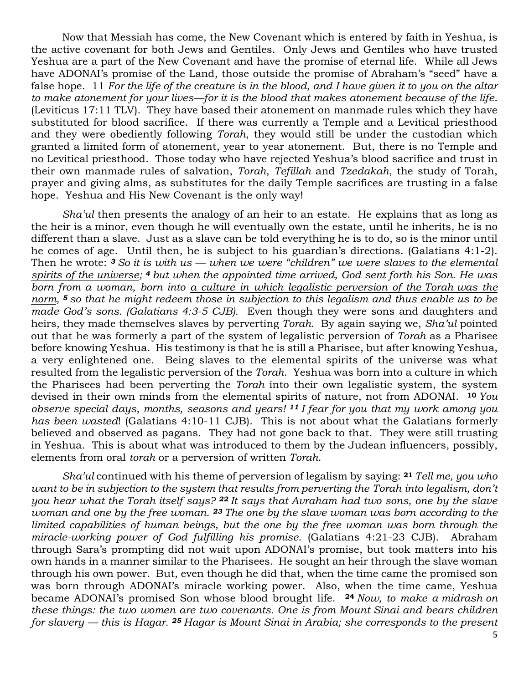Now that Messiah has come, the New Covenant which is entered by faith in Yeshua, is the active covenant for both Jews and Gentiles. Only Jews and Gentiles who have trusted Yeshua are a part of the New Covenant and have the promise of eternal life. While all Jews have ADONAI's promise of the Land, those outside the promise of Abraham's "seed" have a false hope. 11 *For the life of the creature is in the blood, and I have given it to you on the altar to make atonement for your lives—for it is the blood that makes atonement because of the life*. (Leviticus 17:11 TLV). They have based their atonement on manmade rules which they have substituted for blood sacrifice. If there was currently a Temple and a Levitical priesthood and they were obediently following *Torah*, they would still be under the custodian which granted a limited form of atonement, year to year atonement. But, there is no Temple and no Levitical priesthood. Those today who have rejected Yeshua's blood sacrifice and trust in their own manmade rules of salvation, *Torah*, *Tefillah* and *Tzedakah*, the study of Torah, prayer and giving alms, as substitutes for the daily Temple sacrifices are trusting in a false hope. Yeshua and His New Covenant is the only way!

*Sha'ul* then presents the analogy of an heir to an estate. He explains that as long as the heir is a minor, even though he will eventually own the estate, until he inherits, he is no different than a slave. Just as a slave can be told everything he is to do, so is the minor until he comes of age. Until then, he is subject to his guardian's directions. (Galatians 4:1-2). Then he wrote: *<sup>3</sup> So it is with us — when we were "children" we were slaves to the elemental spirits of the universe; <sup>4</sup> but when the appointed time arrived, God sent forth his Son. He was born from a woman, born into a culture in which legalistic perversion of the Torah was the norm, <sup>5</sup> so that he might redeem those in subjection to this legalism and thus enable us to be made God's sons. (Galatians 4:3-5 CJB).* Even though they were sons and daughters and heirs, they made themselves slaves by perverting *Torah*. By again saying we, *Sha'ul* pointed out that he was formerly a part of the system of legalistic perversion of *Torah* as a Pharisee before knowing Yeshua. His testimony is that he is still a Pharisee, but after knowing Yeshua, a very enlightened one. Being slaves to the elemental spirits of the universe was what resulted from the legalistic perversion of the *Torah*. Yeshua was born into a culture in which the Pharisees had been perverting the *Torah* into their own legalistic system, the system devised in their own minds from the elemental spirits of nature, not from ADONAI. **<sup>10</sup>** *You observe special days, months, seasons and years! <sup>11</sup> I fear for you that my work among you has been wasted*! (Galatians 4:10-11 CJB). This is not about what the Galatians formerly believed and observed as pagans. They had not gone back to that. They were still trusting in Yeshua. This is about what was introduced to them by the Judean influencers, possibly, elements from oral *torah* or a perversion of written *Torah*.

*Sha'ul* continued with his theme of perversion of legalism by saying: **<sup>21</sup>** *Tell me, you who want to be in subjection to the system that results from perverting the Torah into legalism, don't you hear what the Torah itself says? <sup>22</sup> It says that Avraham had two sons, one by the slave woman and one by the free woman. <sup>23</sup> The one by the slave woman was born according to the limited capabilities of human beings, but the one by the free woman was born through the miracle-working power of God fulfilling his promise*. (Galatians 4:21-23 CJB). Abraham through Sara's prompting did not wait upon ADONAI's promise, but took matters into his own hands in a manner similar to the Pharisees. He sought an heir through the slave woman through his own power. But, even though he did that, when the time came the promised son was born through ADONAI's miracle working power. Also, when the time came, Yeshua became ADONAI's promised Son whose blood brought life. **<sup>24</sup>** *Now, to make a midrash on these things: the two women are two covenants. One is from Mount Sinai and bears children for slavery — this is Hagar. <sup>25</sup> Hagar is Mount Sinai in Arabia; she corresponds to the present*